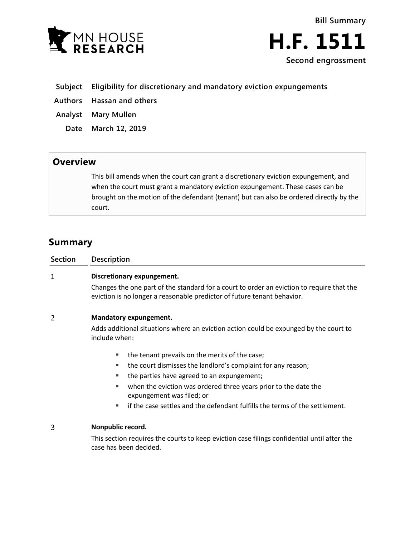

**Bill Summary H.F. 1511 Second engrossment**

- **Subject Eligibility for discretionary and mandatory eviction expungements**
- **Authors Hassan and others**
- **Analyst Mary Mullen**
	- **Date March 12, 2019**

## **Overview**

This bill amends when the court can grant a discretionary eviction expungement, and when the court must grant a mandatory eviction expungement. These cases can be brought on the motion of the defendant (tenant) but can also be ordered directly by the court.

## **Summary**

| Section | <b>Description</b>                                                                                                                                                   |
|---------|----------------------------------------------------------------------------------------------------------------------------------------------------------------------|
|         | Discretionary expungement.                                                                                                                                           |
|         | Changes the one part of the standard for a court to order an eviction to require that the<br>eviction is no longer a reasonable predictor of future tenant behavior. |
|         | Mandatory expungement.                                                                                                                                               |
|         | Adds additional situations where an eviction action could be expunged by the court to<br>include when:                                                               |
|         |                                                                                                                                                                      |

- the tenant prevails on the merits of the case;
- **the court dismisses the landlord's complaint for any reason;**
- the parties have agreed to an expungement;
- when the eviction was ordered three years prior to the date the expungement was filed; or
- if the case settles and the defendant fulfills the terms of the settlement.

## 3 **Nonpublic record.**

This section requires the courts to keep eviction case filings confidential until after the case has been decided.